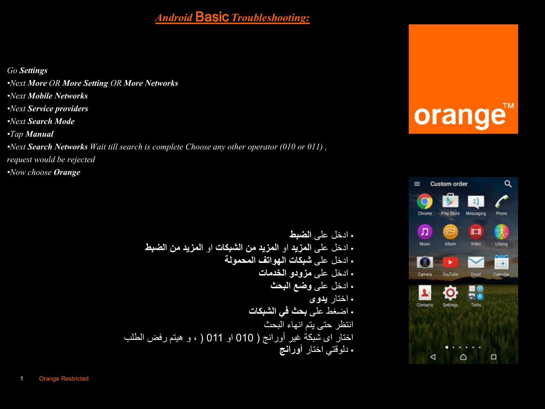### *Android* Basic *Troubleshooting:*

*Go Settings*

- *•Next More OR More Setting OR More Networks*
- *•Next Mobile Networks*
- *•Next Service providers*
- *•Next Search Mode*
- *•Tap Manual*

*•Next Search Networks Wait till search is complete Choose any other operator (010 or 011) ,* 

*request would be rejected*

*•Now choose Orange*

*•* ادخل على **الضبط** *•* ادخل على **المزيد** او **المزيد من الشبكات** او **المزيد من الضبط** *•* ادخل على **شبكات الهواتف المحمولة** *•* ادخل على **مزودو الخدمات** *•* ادخل على **وضع البحث** *•* اختار **يدوى** *•* اضغط على **بحث في الشبكات** انتظر حتى يتم انهاء البحث اختار اى شبكة غير أورانج ) 010 او 011 ) ، و هيتم رفض الطلب *•* دلوقتي اختار **أورانج**

## orange™

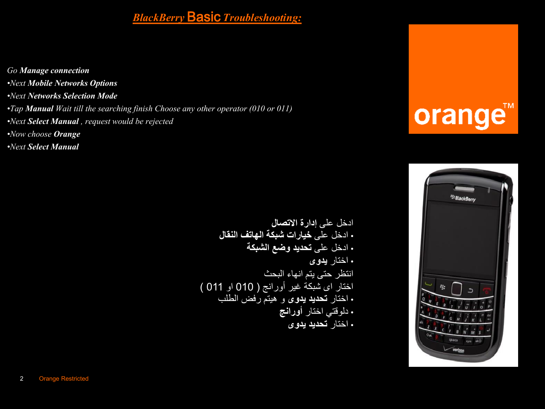### *BlackBerry* Basic *Troubleshooting:*

*Go Manage connection •Next Mobile Networks Options •Next Networks Selection Mode •Tap Manual Wait till the searching finish Choose any other operator (010 or 011) •Next Select Manual , request would be rejected •Now choose Orange •Next Select Manual*

> ادخل على **إدارة االتصال** *•* ادخل على **خيارات شبكة الهاتف النقال** *•* ادخل على **تحديد وضع الشبكة** *•* اختار **يدوى** انتظر حتى يتم انهاء البحث اختار اى شبكة غير أورانج ) 010 او 011 ( *•* اختار **تحديد يدوى** و هيتم رفض الطلب *•* دلوقتي اختار **أورانج** *•* اختار **تحديد يدوى**

### orange™

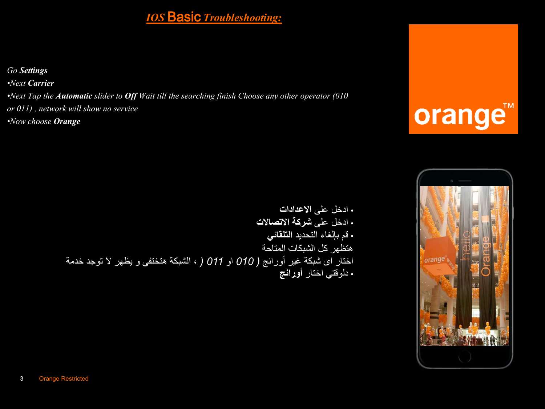#### *IOS* Basic *Troubleshooting:*

*Go Settings*

*•Next Carrier*

*•Next Tap the Automatic slider to Off Wait till the searching finish Choose any other operator (010 or 011) , network will show no service •Now choose Orange*

### orange™

#### *•* ادخل على **االعدادات** *•* ادخل على **شركة االتصاالت** *•* قم بإلغاء التحديد **التلقائي** هتظهر كل الشبكات المتاحة اختار اى شبكة غير أورانج *) 010* او *011 )* ، الشبكة هتختفي و يظهر ال توجد خدمة *•* دلوقتي اختار **أورانج**